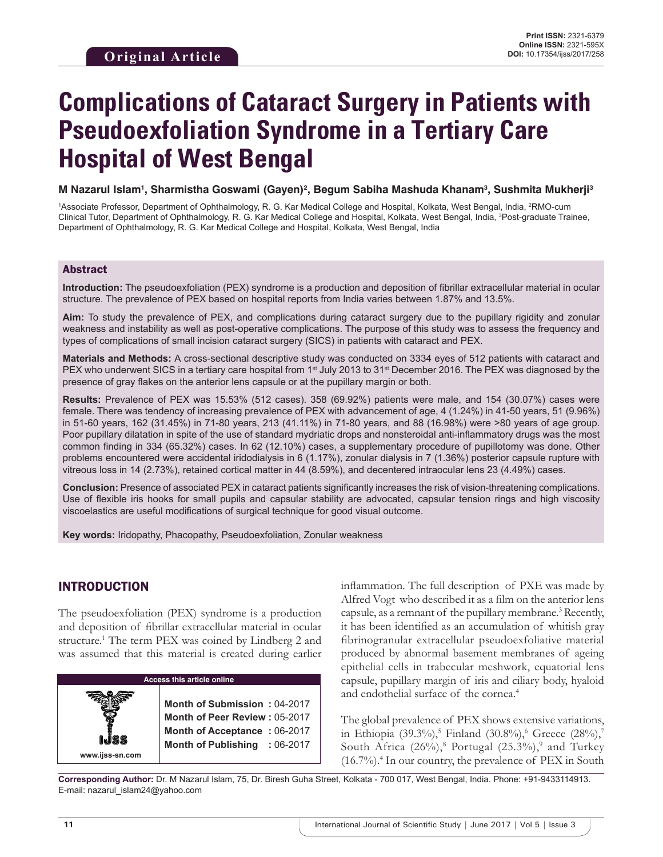# **Complications of Cataract Surgery in Patients with Pseudoexfoliation Syndrome in a Tertiary Care Hospital of West Bengal**

**M Nazarul Islam1 , Sharmistha Goswami (Gayen)2 , Begum Sabiha Mashuda Khanam3 , Sushmita Mukherji3**

<sup>1</sup>Associate Professor, Department of Ophthalmology, R. G. Kar Medical College and Hospital, Kolkata, West Bengal, India, <sup>2</sup>RMO-cum Clinical Tutor, Department of Ophthalmology, R. G. Kar Medical College and Hospital, Kolkata, West Bengal, India, 3 Post-graduate Trainee, Department of Ophthalmology, R. G. Kar Medical College and Hospital, Kolkata, West Bengal, India

#### Abstract

**Introduction:** The pseudoexfoliation (PEX) syndrome is a production and deposition of fibrillar extracellular material in ocular structure. The prevalence of PEX based on hospital reports from India varies between 1.87% and 13.5%.

**Aim:** To study the prevalence of PEX, and complications during cataract surgery due to the pupillary rigidity and zonular weakness and instability as well as post-operative complications. The purpose of this study was to assess the frequency and types of complications of small incision cataract surgery (SICS) in patients with cataract and PEX.

**Materials and Methods:** A cross-sectional descriptive study was conducted on 3334 eyes of 512 patients with cataract and PEX who underwent SICS in a tertiary care hospital from 1<sup>st</sup> July 2013 to 31<sup>st</sup> December 2016. The PEX was diagnosed by the presence of gray flakes on the anterior lens capsule or at the pupillary margin or both.

**Results:** Prevalence of PEX was 15.53% (512 cases). 358 (69.92%) patients were male, and 154 (30.07%) cases were female. There was tendency of increasing prevalence of PEX with advancement of age, 4 (1.24%) in 41-50 years, 51 (9.96%) in 51-60 years, 162 (31.45%) in 71-80 years, 213 (41.11%) in 71-80 years, and 88 (16.98%) were >80 years of age group. Poor pupillary dilatation in spite of the use of standard mydriatic drops and nonsteroidal anti-inflammatory drugs was the most common finding in 334 (65.32%) cases. In 62 (12.10%) cases, a supplementary procedure of pupillotomy was done. Other problems encountered were accidental iridodialysis in 6 (1.17%), zonular dialysis in 7 (1.36%) posterior capsule rupture with vitreous loss in 14 (2.73%), retained cortical matter in 44 (8.59%), and decentered intraocular lens 23 (4.49%) cases.

**Conclusion:** Presence of associated PEX in cataract patients significantly increases the risk of vision-threatening complications. Use of flexible iris hooks for small pupils and capsular stability are advocated, capsular tension rings and high viscosity viscoelastics are useful modifications of surgical technique for good visual outcome.

**Key words:** Iridopathy, Phacopathy, Pseudoexfoliation, Zonular weakness

## INTRODUCTION

**www.ijss-sn.com**

The pseudoexfoliation (PEX) syndrome is a production and deposition of fibrillar extracellular material in ocular structure.1 The term PEX was coined by Lindberg 2 and was assumed that this material is created during earlier

#### **Access this article online**

**Month of Submission :** 04-2017 **Month of Peer Review :** 05-2017 **Month of Acceptance :** 06-2017 **Month of Publishing :** 06-2017

inflammation. The full description of PXE was made by Alfred Vogt who described it as a film on the anterior lens capsule, as a remnant of the pupillary membrane.<sup>3</sup> Recently, it has been identified as an accumulation of whitish gray fibrinogranular extracellular pseudoexfoliative material produced by abnormal basement membranes of ageing epithelial cells in trabecular meshwork, equatorial lens capsule, pupillary margin of iris and ciliary body, hyaloid and endothelial surface of the cornea.<sup>4</sup>

The global prevalence of PEX shows extensive variations, in Ethiopia (39.3%),<sup>5</sup> Finland (30.8%),<sup>6</sup> Greece (28%),<sup>7</sup> South Africa  $(26\%)$ ,<sup>8</sup> Portugal  $(25.3\%)$ ,<sup>9</sup> and Turkey (16.7%).<sup>4</sup> In our country, the prevalence of PEX in South

**Corresponding Author:** Dr. M Nazarul Islam, 75, Dr. Biresh Guha Street, Kolkata - 700 017, West Bengal, India. Phone: +91-9433114913. E-mail: nazarul\_islam24@yahoo.com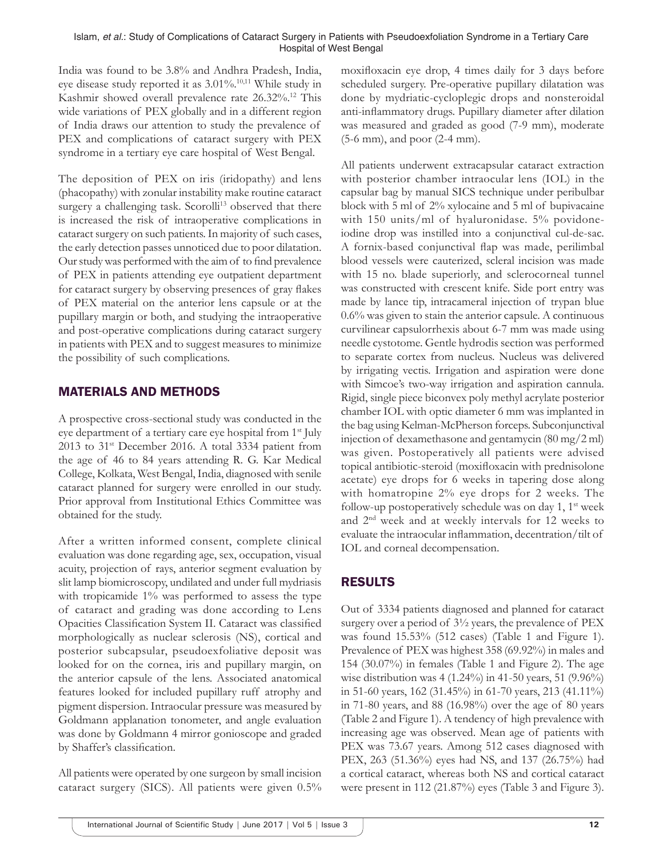India was found to be 3.8% and Andhra Pradesh, India, eye disease study reported it as 3.01%.10,11 While study in Kashmir showed overall prevalence rate 26.32%.<sup>12</sup> This wide variations of PEX globally and in a different region of India draws our attention to study the prevalence of PEX and complications of cataract surgery with PEX syndrome in a tertiary eye care hospital of West Bengal.

The deposition of PEX on iris (iridopathy) and lens (phacopathy) with zonular instability make routine cataract surgery a challenging task. Scorolli<sup>13</sup> observed that there is increased the risk of intraoperative complications in cataract surgery on such patients. In majority of such cases, the early detection passes unnoticed due to poor dilatation. Our study was performed with the aim of to find prevalence of PEX in patients attending eye outpatient department for cataract surgery by observing presences of gray flakes of PEX material on the anterior lens capsule or at the pupillary margin or both, and studying the intraoperative and post-operative complications during cataract surgery in patients with PEX and to suggest measures to minimize the possibility of such complications.

## MATERIALS AND METHODS

A prospective cross-sectional study was conducted in the eye department of a tertiary care eye hospital from 1<sup>st</sup> July 2013 to 31st December 2016. A total 3334 patient from the age of 46 to 84 years attending R. G. Kar Medical College, Kolkata, West Bengal, India, diagnosed with senile cataract planned for surgery were enrolled in our study. Prior approval from Institutional Ethics Committee was obtained for the study.

After a written informed consent, complete clinical evaluation was done regarding age, sex, occupation, visual acuity, projection of rays, anterior segment evaluation by slit lamp biomicroscopy, undilated and under full mydriasis with tropicamide 1% was performed to assess the type of cataract and grading was done according to Lens Opacities Classification System II. Cataract was classified morphologically as nuclear sclerosis (NS), cortical and posterior subcapsular, pseudoexfoliative deposit was looked for on the cornea, iris and pupillary margin, on the anterior capsule of the lens. Associated anatomical features looked for included pupillary ruff atrophy and pigment dispersion. Intraocular pressure was measured by Goldmann applanation tonometer, and angle evaluation was done by Goldmann 4 mirror gonioscope and graded by Shaffer's classification.

All patients were operated by one surgeon by small incision cataract surgery (SICS). All patients were given 0.5% moxifloxacin eye drop, 4 times daily for 3 days before scheduled surgery. Pre-operative pupillary dilatation was done by mydriatic-cycloplegic drops and nonsteroidal anti-inflammatory drugs. Pupillary diameter after dilation was measured and graded as good (7-9 mm), moderate (5-6 mm), and poor (2-4 mm).

All patients underwent extracapsular cataract extraction with posterior chamber intraocular lens (IOL) in the capsular bag by manual SICS technique under peribulbar block with 5 ml of 2% xylocaine and 5 ml of bupivacaine with 150 units/ml of hyaluronidase. 5% povidoneiodine drop was instilled into a conjunctival cul-de-sac. A fornix-based conjunctival flap was made, perilimbal blood vessels were cauterized, scleral incision was made with 15 no. blade superiorly, and sclerocorneal tunnel was constructed with crescent knife. Side port entry was made by lance tip, intracameral injection of trypan blue 0.6% was given to stain the anterior capsule. A continuous curvilinear capsulorrhexis about 6-7 mm was made using needle cystotome. Gentle hydrodis section was performed to separate cortex from nucleus. Nucleus was delivered by irrigating vectis. Irrigation and aspiration were done with Simcoe's two-way irrigation and aspiration cannula. Rigid, single piece biconvex poly methyl acrylate posterior chamber IOL with optic diameter 6 mm was implanted in the bag using Kelman-McPherson forceps. Subconjunctival injection of dexamethasone and gentamycin (80 mg/2 ml) was given. Postoperatively all patients were advised topical antibiotic-steroid (moxifloxacin with prednisolone acetate) eye drops for 6 weeks in tapering dose along with homatropine 2% eye drops for 2 weeks. The follow-up postoperatively schedule was on day 1,  $1<sup>st</sup>$  week and 2nd week and at weekly intervals for 12 weeks to evaluate the intraocular inflammation, decentration/tilt of IOL and corneal decompensation.

# RESULTS

Out of 3334 patients diagnosed and planned for cataract surgery over a period of 3½ years, the prevalence of PEX was found 15.53% (512 cases) (Table 1 and Figure 1). Prevalence of PEX was highest 358 (69.92%) in males and 154 (30.07%) in females (Table 1 and Figure 2). The age wise distribution was 4 (1.24%) in 41-50 years, 51 (9.96%) in 51-60 years, 162 (31.45%) in 61-70 years, 213 (41.11%) in 71-80 years, and 88 (16.98%) over the age of 80 years (Table 2 and Figure 1). A tendency of high prevalence with increasing age was observed. Mean age of patients with PEX was 73.67 years. Among 512 cases diagnosed with PEX, 263 (51.36%) eyes had NS, and 137 (26.75%) had a cortical cataract, whereas both NS and cortical cataract were present in 112 (21.87%) eyes (Table 3 and Figure 3).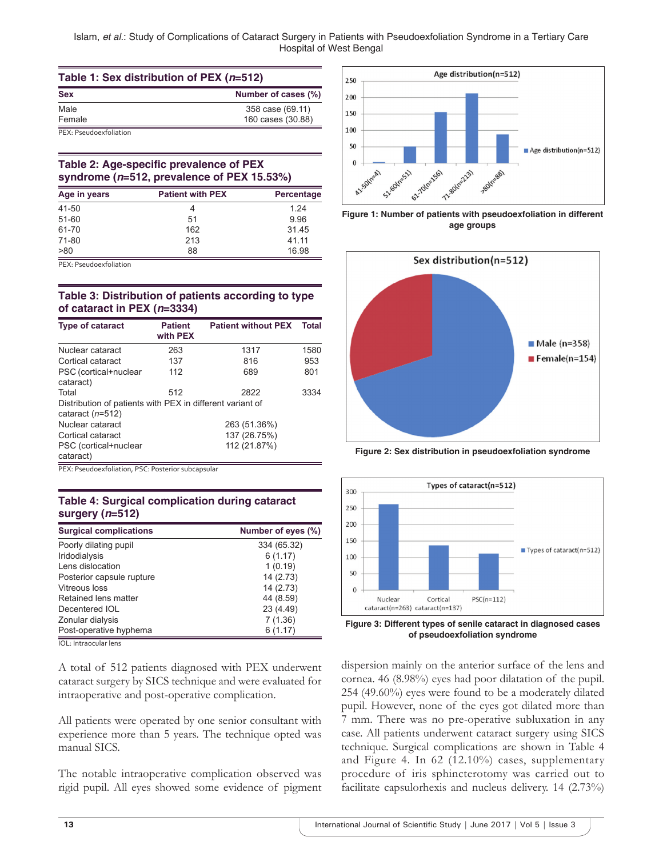Islam, *et al.*: Study of Complications of Cataract Surgery in Patients with Pseudoexfoliation Syndrome in a Tertiary Care Hospital of West Bengal

| Table 1: Sex distribution of PEX (n=512) |                     |  |
|------------------------------------------|---------------------|--|
| <b>Sex</b>                               | Number of cases (%) |  |
| Male                                     | 358 case (69.11)    |  |
| Female                                   | 160 cases (30.88)   |  |
| PEX: Pseudoexfoliation                   |                     |  |

#### **Table 2: Age‑specific prevalence of PEX syndrome (***n***=512, prevalence of PEX 15.53%)**

| Age in years | <b>Patient with PEX</b> |       |
|--------------|-------------------------|-------|
| 41-50        |                         | 1.24  |
| $51 - 60$    | 51                      | 9.96  |
| 61-70        | 162                     | 31.45 |
| 71-80        | 213                     | 41.11 |
| >80          | 88                      | 16.98 |

PEX: Pseudoexfoliation

#### **Table 3: Distribution of patients according to type of cataract in PEX (***n***=3334)**

| <b>Type of cataract</b>                                                         | <b>Patient</b><br>with PEX | <b>Patient without PEX</b> | <b>Total</b> |
|---------------------------------------------------------------------------------|----------------------------|----------------------------|--------------|
| Nuclear cataract                                                                | 263                        | 1317                       | 1580         |
| Cortical cataract                                                               | 137                        | 816                        | 953          |
| PSC (cortical+nuclear<br>cataract)                                              | 112                        | 689                        | 801          |
| Total                                                                           | 512                        | 2822                       | 3334         |
| Distribution of patients with PEX in different variant of<br>cataract $(n=512)$ |                            |                            |              |
| Nuclear cataract                                                                | 263 (51.36%)               |                            |              |
| Cortical cataract                                                               | 137 (26.75%)               |                            |              |
| PSC (cortical+nuclear<br>cataract)                                              | 112 (21.87%)               |                            |              |

PEX: Pseudoexfoliation, PSC: Posterior subcapsular

#### **Table 4: Surgical complication during cataract surgery (***n***=512)**

| <b>Surgical complications</b> | Number of eyes (%) |
|-------------------------------|--------------------|
| Poorly dilating pupil         | 334 (65.32)        |
| Iridodialysis                 | 6(1.17)            |
| Lens dislocation              | 1(0.19)            |
| Posterior capsule rupture     | 14 (2.73)          |
| Vitreous loss                 | 14 (2.73)          |
| Retained lens matter          | 44 (8.59)          |
| Decentered IOL                | 23 (4.49)          |
| Zonular dialysis              | 7(1.36)            |
| Post-operative hyphema        | 6 (1.17)           |

IOL: Intraocular lens

A total of 512 patients diagnosed with PEX underwent cataract surgery by SICS technique and were evaluated for intraoperative and post-operative complication.

All patients were operated by one senior consultant with experience more than 5 years. The technique opted was manual SICS.

The notable intraoperative complication observed was rigid pupil. All eyes showed some evidence of pigment



**Figure 1: Number of patients with pseudoexfoliation in different age groups**



**Figure 2: Sex distribution in pseudoexfoliation syndrome**



**Figure 3: Different types of senile cataract in diagnosed cases of pseudoexfoliation syndrome**

dispersion mainly on the anterior surface of the lens and cornea. 46 (8.98%) eyes had poor dilatation of the pupil. 254 (49.60%) eyes were found to be a moderately dilated pupil. However, none of the eyes got dilated more than 7 mm. There was no pre-operative subluxation in any case. All patients underwent cataract surgery using SICS technique. Surgical complications are shown in Table 4 and Figure 4. In 62 (12.10%) cases, supplementary procedure of iris sphincterotomy was carried out to facilitate capsulorhexis and nucleus delivery. 14 (2.73%)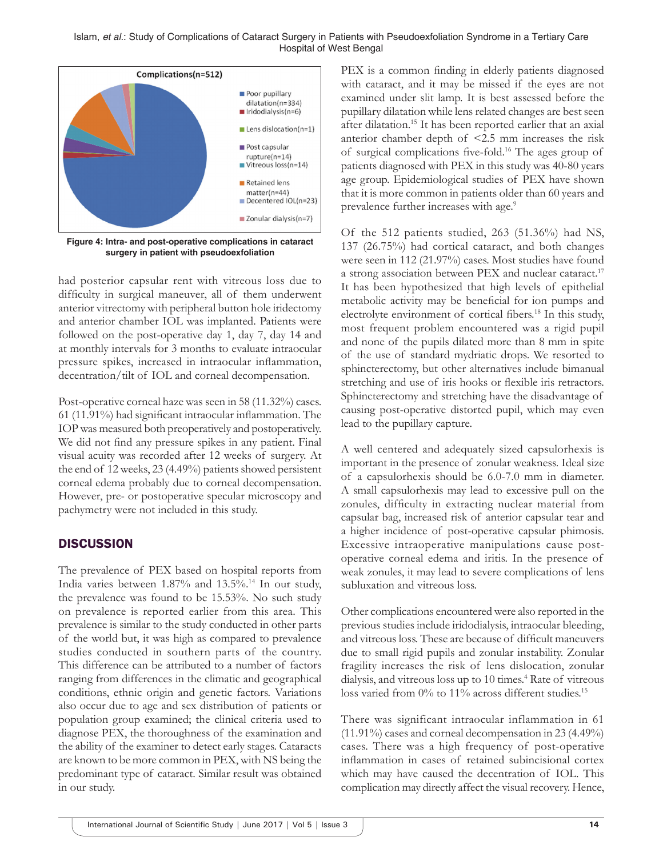Islam, *et al.*: Study of Complications of Cataract Surgery in Patients with Pseudoexfoliation Syndrome in a Tertiary Care Hospital of West Bengal



**Figure 4: Intra- and post-operative complications in cataract surgery in patient with pseudoexfoliation**

had posterior capsular rent with vitreous loss due to difficulty in surgical maneuver, all of them underwent anterior vitrectomy with peripheral button hole iridectomy and anterior chamber IOL was implanted. Patients were followed on the post-operative day 1, day 7, day 14 and at monthly intervals for 3 months to evaluate intraocular pressure spikes, increased in intraocular inflammation, decentration/tilt of IOL and corneal decompensation.

Post-operative corneal haze was seen in 58 (11.32%) cases. 61 (11.91%) had significant intraocular inflammation. The IOP was measured both preoperatively and postoperatively. We did not find any pressure spikes in any patient. Final visual acuity was recorded after 12 weeks of surgery. At the end of 12 weeks, 23 (4.49%) patients showed persistent corneal edema probably due to corneal decompensation. However, pre- or postoperative specular microscopy and pachymetry were not included in this study.

#### **DISCUSSION**

The prevalence of PEX based on hospital reports from India varies between 1.87% and 13.5%.14 In our study, the prevalence was found to be 15.53%. No such study on prevalence is reported earlier from this area. This prevalence is similar to the study conducted in other parts of the world but, it was high as compared to prevalence studies conducted in southern parts of the country. This difference can be attributed to a number of factors ranging from differences in the climatic and geographical conditions, ethnic origin and genetic factors. Variations also occur due to age and sex distribution of patients or population group examined; the clinical criteria used to diagnose PEX, the thoroughness of the examination and the ability of the examiner to detect early stages. Cataracts are known to be more common in PEX, with NS being the predominant type of cataract. Similar result was obtained in our study.

PEX is a common finding in elderly patients diagnosed with cataract, and it may be missed if the eyes are not examined under slit lamp. It is best assessed before the pupillary dilatation while lens related changes are best seen after dilatation.15 It has been reported earlier that an axial anterior chamber depth of <2.5 mm increases the risk of surgical complications five-fold.16 The ages group of patients diagnosed with PEX in this study was 40-80 years age group. Epidemiological studies of PEX have shown that it is more common in patients older than 60 years and prevalence further increases with age.<sup>9</sup>

Of the 512 patients studied, 263 (51.36%) had NS, 137 (26.75%) had cortical cataract, and both changes were seen in 112 (21.97%) cases. Most studies have found a strong association between PEX and nuclear cataract.<sup>17</sup> It has been hypothesized that high levels of epithelial metabolic activity may be beneficial for ion pumps and electrolyte environment of cortical fibers.<sup>18</sup> In this study, most frequent problem encountered was a rigid pupil and none of the pupils dilated more than 8 mm in spite of the use of standard mydriatic drops. We resorted to sphincterectomy, but other alternatives include bimanual stretching and use of iris hooks or flexible iris retractors. Sphincterectomy and stretching have the disadvantage of causing post-operative distorted pupil, which may even lead to the pupillary capture.

A well centered and adequately sized capsulorhexis is important in the presence of zonular weakness. Ideal size of a capsulorhexis should be 6.0-7.0 mm in diameter. A small capsulorhexis may lead to excessive pull on the zonules, difficulty in extracting nuclear material from capsular bag, increased risk of anterior capsular tear and a higher incidence of post-operative capsular phimosis. Excessive intraoperative manipulations cause postoperative corneal edema and iritis. In the presence of weak zonules, it may lead to severe complications of lens subluxation and vitreous loss.

Other complications encountered were also reported in the previous studies include iridodialysis, intraocular bleeding, and vitreous loss. These are because of difficult maneuvers due to small rigid pupils and zonular instability. Zonular fragility increases the risk of lens dislocation, zonular dialysis, and vitreous loss up to 10 times.<sup>4</sup> Rate of vitreous loss varied from  $0\%$  to 11% across different studies.<sup>15</sup>

There was significant intraocular inflammation in 61 (11.91%) cases and corneal decompensation in 23 (4.49%) cases. There was a high frequency of post-operative inflammation in cases of retained subincisional cortex which may have caused the decentration of IOL. This complication may directly affect the visual recovery. Hence,